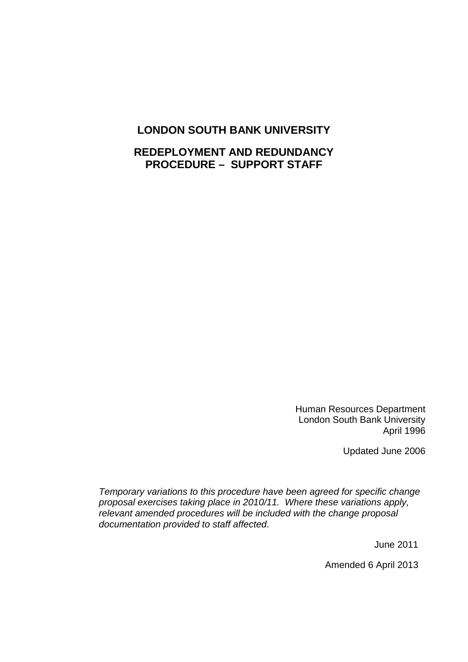## **LONDON SOUTH BANK UNIVERSITY**

# **REDEPLOYMENT AND REDUNDANCY PROCEDURE – SUPPORT STAFF**

Human Resources Department London South Bank University April 1996

Updated June 2006

*Temporary variations to this procedure have been agreed for specific change proposal exercises taking place in 2010/11. Where these variations apply, relevant amended procedures will be included with the change proposal documentation provided to staff affected*.

June 2011

Amended 6 April 2013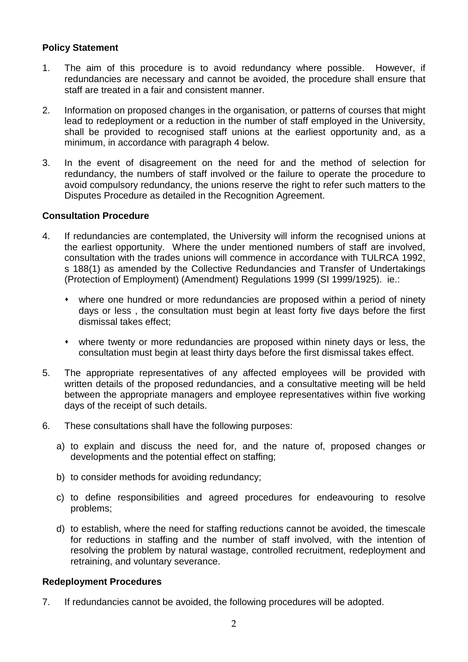## **Policy Statement**

- 1. The aim of this procedure is to avoid redundancy where possible. However, if redundancies are necessary and cannot be avoided, the procedure shall ensure that staff are treated in a fair and consistent manner.
- 2. Information on proposed changes in the organisation, or patterns of courses that might lead to redeployment or a reduction in the number of staff employed in the University, shall be provided to recognised staff unions at the earliest opportunity and, as a minimum, in accordance with paragraph 4 below.
- 3. In the event of disagreement on the need for and the method of selection for redundancy, the numbers of staff involved or the failure to operate the procedure to avoid compulsory redundancy, the unions reserve the right to refer such matters to the Disputes Procedure as detailed in the Recognition Agreement.

## **Consultation Procedure**

- 4. If redundancies are contemplated, the University will inform the recognised unions at the earliest opportunity. Where the under mentioned numbers of staff are involved, consultation with the trades unions will commence in accordance with TULRCA 1992, s 188(1) as amended by the Collective Redundancies and Transfer of Undertakings (Protection of Employment) (Amendment) Regulations 1999 (SI 1999/1925). ie.:
	- where one hundred or more redundancies are proposed within a period of ninety days or less , the consultation must begin at least forty five days before the first dismissal takes effect;
	- where twenty or more redundancies are proposed within ninety days or less, the consultation must begin at least thirty days before the first dismissal takes effect.
- 5. The appropriate representatives of any affected employees will be provided with written details of the proposed redundancies, and a consultative meeting will be held between the appropriate managers and employee representatives within five working days of the receipt of such details.
- 6. These consultations shall have the following purposes:
	- a) to explain and discuss the need for, and the nature of, proposed changes or developments and the potential effect on staffing;
	- b) to consider methods for avoiding redundancy;
	- c) to define responsibilities and agreed procedures for endeavouring to resolve problems;
	- d) to establish, where the need for staffing reductions cannot be avoided, the timescale for reductions in staffing and the number of staff involved, with the intention of resolving the problem by natural wastage, controlled recruitment, redeployment and retraining, and voluntary severance.

## **Redeployment Procedures**

7. If redundancies cannot be avoided, the following procedures will be adopted.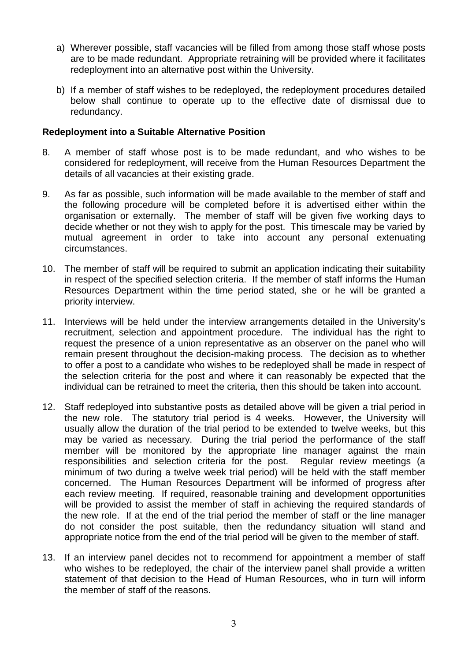- a) Wherever possible, staff vacancies will be filled from among those staff whose posts are to be made redundant. Appropriate retraining will be provided where it facilitates redeployment into an alternative post within the University.
- b) If a member of staff wishes to be redeployed, the redeployment procedures detailed below shall continue to operate up to the effective date of dismissal due to redundancy.

#### **Redeployment into a Suitable Alternative Position**

- 8. A member of staff whose post is to be made redundant, and who wishes to be considered for redeployment, will receive from the Human Resources Department the details of all vacancies at their existing grade.
- 9. As far as possible, such information will be made available to the member of staff and the following procedure will be completed before it is advertised either within the organisation or externally. The member of staff will be given five working days to decide whether or not they wish to apply for the post. This timescale may be varied by mutual agreement in order to take into account any personal extenuating circumstances.
- 10. The member of staff will be required to submit an application indicating their suitability in respect of the specified selection criteria. If the member of staff informs the Human Resources Department within the time period stated, she or he will be granted a priority interview.
- 11. Interviews will be held under the interview arrangements detailed in the University's recruitment, selection and appointment procedure. The individual has the right to request the presence of a union representative as an observer on the panel who will remain present throughout the decision-making process. The decision as to whether to offer a post to a candidate who wishes to be redeployed shall be made in respect of the selection criteria for the post and where it can reasonably be expected that the individual can be retrained to meet the criteria, then this should be taken into account.
- 12. Staff redeployed into substantive posts as detailed above will be given a trial period in the new role. The statutory trial period is 4 weeks. However, the University will usually allow the duration of the trial period to be extended to twelve weeks, but this may be varied as necessary. During the trial period the performance of the staff member will be monitored by the appropriate line manager against the main responsibilities and selection criteria for the post. Regular review meetings (a minimum of two during a twelve week trial period) will be held with the staff member concerned. The Human Resources Department will be informed of progress after each review meeting. If required, reasonable training and development opportunities will be provided to assist the member of staff in achieving the required standards of the new role. If at the end of the trial period the member of staff or the line manager do not consider the post suitable, then the redundancy situation will stand and appropriate notice from the end of the trial period will be given to the member of staff.
- 13. If an interview panel decides not to recommend for appointment a member of staff who wishes to be redeployed, the chair of the interview panel shall provide a written statement of that decision to the Head of Human Resources, who in turn will inform the member of staff of the reasons.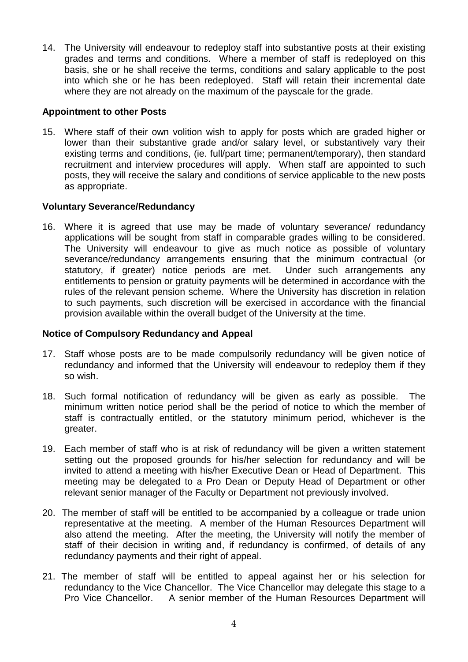14. The University will endeavour to redeploy staff into substantive posts at their existing grades and terms and conditions. Where a member of staff is redeployed on this basis, she or he shall receive the terms, conditions and salary applicable to the post into which she or he has been redeployed. Staff will retain their incremental date where they are not already on the maximum of the payscale for the grade.

### **Appointment to other Posts**

15. Where staff of their own volition wish to apply for posts which are graded higher or lower than their substantive grade and/or salary level, or substantively vary their existing terms and conditions, (ie. full/part time; permanent/temporary), then standard recruitment and interview procedures will apply. When staff are appointed to such posts, they will receive the salary and conditions of service applicable to the new posts as appropriate.

## **Voluntary Severance/Redundancy**

16. Where it is agreed that use may be made of voluntary severance/ redundancy applications will be sought from staff in comparable grades willing to be considered. The University will endeavour to give as much notice as possible of voluntary severance/redundancy arrangements ensuring that the minimum contractual (or statutory, if greater) notice periods are met. Under such arrangements any entitlements to pension or gratuity payments will be determined in accordance with the rules of the relevant pension scheme. Where the University has discretion in relation to such payments, such discretion will be exercised in accordance with the financial provision available within the overall budget of the University at the time.

## **Notice of Compulsory Redundancy and Appeal**

- 17. Staff whose posts are to be made compulsorily redundancy will be given notice of redundancy and informed that the University will endeavour to redeploy them if they so wish.
- 18. Such formal notification of redundancy will be given as early as possible. The minimum written notice period shall be the period of notice to which the member of staff is contractually entitled, or the statutory minimum period, whichever is the greater.
- 19. Each member of staff who is at risk of redundancy will be given a written statement setting out the proposed grounds for his/her selection for redundancy and will be invited to attend a meeting with his/her Executive Dean or Head of Department. This meeting may be delegated to a Pro Dean or Deputy Head of Department or other relevant senior manager of the Faculty or Department not previously involved.
- 20. The member of staff will be entitled to be accompanied by a colleague or trade union representative at the meeting. A member of the Human Resources Department will also attend the meeting. After the meeting, the University will notify the member of staff of their decision in writing and, if redundancy is confirmed, of details of any redundancy payments and their right of appeal.
- 21. The member of staff will be entitled to appeal against her or his selection for redundancy to the Vice Chancellor. The Vice Chancellor may delegate this stage to a Pro Vice Chancellor. A senior member of the Human Resources Department will